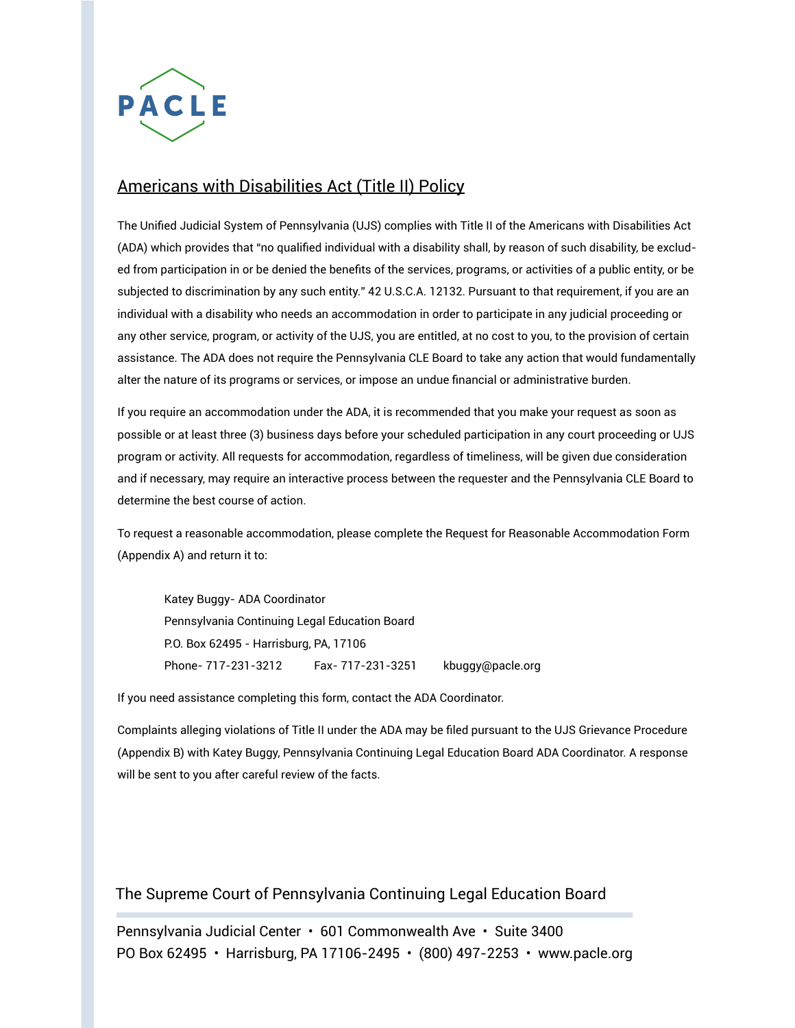

## Americans with Disabilities Act (Title II) Policy

The Unified Judicial System of Pennsylvania (UJS) complies with Title II of the Americans with Disabilities Act (ADA) which provides that "no qualified individual with a disability shall, by reason of such disability, be excluded from participation in or be denied the benefits of the services, programs, or activities of a public entity, or be subjected to discrimination by any such entity." 42 U.S.C.A. 12132. Pursuant to that requirement, if you are an individual with a disability who needs an accommodation in order to participate in any judicial proceeding or any other service, program, or activity of the UJS, you are entitled, at no cost to you, to the provision of certain assistance. The ADA does not require the Pennsylvania CLE Board to take any action that would fundamentally alter the nature of its programs or services, or impose an undue financial or administrative burden.

If you require an accommodation under the ADA, it is recommended that you make your request as soon as possible or at least three (3) business days before your scheduled participation in any court proceeding or UJS program or activity. All requests for accommodation, regardless of timeliness, will be given due consideration and if necessary, may require an interactive process between the requester and the Pennsylvania CLE Board to determine the best course of action.

To request a reasonable accommodation, please complete the Request for Reasonable Accommodation Form (Appendix A) and return it to:

Katey Buggy- ADA Coordinator Pennsylvania Continuing Legal Education Board P.O. Box 62495 - Harrisburg, PA, 17106 Phone- 717-231-3212 Fax- 717-231-3251 kbuggy@pacle.org

If you need assistance completing this form, contact the ADA Coordinator.

Complaints alleging violations of Title II under the ADA may be filed pursuant to the UJS Grievance Procedure (Appendix B) with Katey Buggy, Pennsylvania Continuing Legal Education Board ADA Coordinator. A response will be sent to you after careful review of the facts.

The Supreme Court of Pennsylvania Continuing Legal Education Board

Pennsylvania Judicial Center • 601 Commonwealth Ave • Suite 3400 PO Box 62495 • Harrisburg, PA 17106-2495 • (800) 497-2253 • www.pacle.org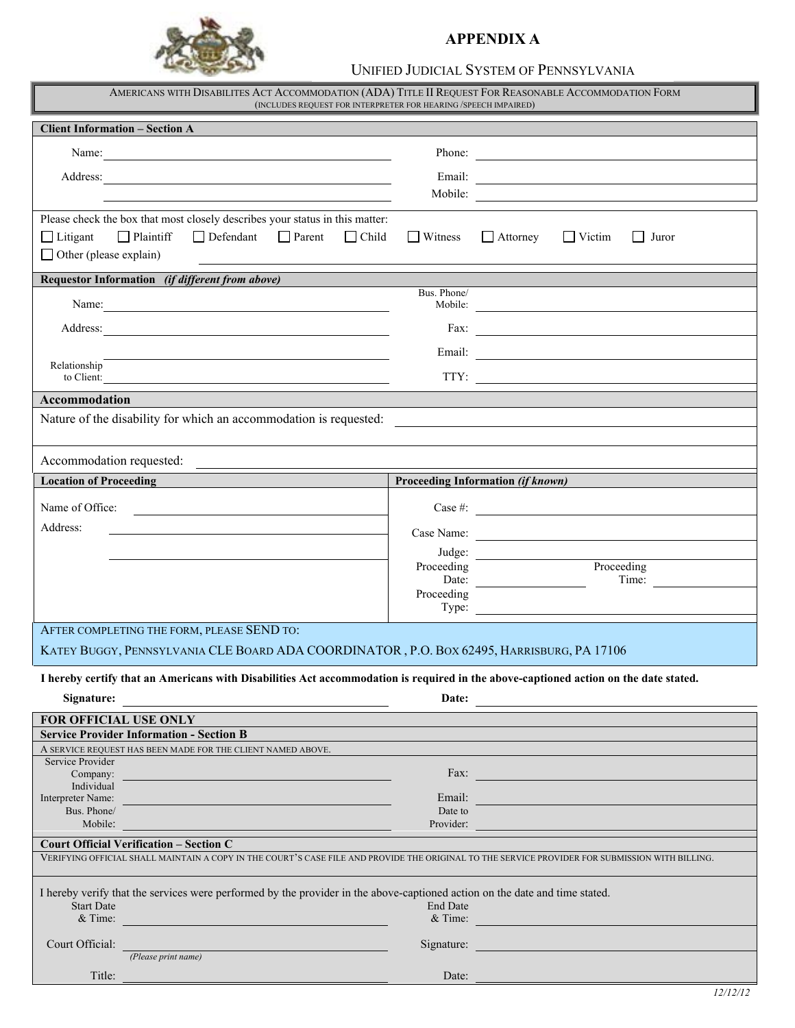

### **FOR USE BY JUDICIAL DISTRICTS ONLY APPENDIX A**

### UNIFIED JUDICIAL SYSTEM OF PENNSYLVANIA UNIFIED JUDICIAL SYSTEM OF PENNSYLVANIA

| AMERICANS WITH DISABILITES ACT ACCOMMODATION (ADA) TITLE II REQUEST FOR REASONABLE ACCOMMODATION FORM<br>(INCLUDES REQUEST FOR INTERPRETER FOR HEARING /SPEECH IMPAIRED)                               |                                   |                                                                                                                        |  |  |
|--------------------------------------------------------------------------------------------------------------------------------------------------------------------------------------------------------|-----------------------------------|------------------------------------------------------------------------------------------------------------------------|--|--|
| <b>Client Information - Section A</b>                                                                                                                                                                  |                                   |                                                                                                                        |  |  |
| Name:                                                                                                                                                                                                  |                                   | Phone:                                                                                                                 |  |  |
| Address:                                                                                                                                                                                               |                                   | Email:                                                                                                                 |  |  |
|                                                                                                                                                                                                        |                                   |                                                                                                                        |  |  |
| Please check the box that most closely describes your status in this matter:<br>$\Box$ Plaintiff<br>$\Box$ Defendant $\Box$ Parent<br>$\Box$ Litigant<br>$\Box$ Child<br>$\Box$ Other (please explain) | $\Box$ Witness                    | $\Box$ Attorney<br>$\Box$ Victim<br>  Juror                                                                            |  |  |
| Requestor Information (if different from above)                                                                                                                                                        |                                   |                                                                                                                        |  |  |
| Name:                                                                                                                                                                                                  | Bus. Phone/                       | Mobile:                                                                                                                |  |  |
|                                                                                                                                                                                                        |                                   | Fax: $\qquad \qquad$                                                                                                   |  |  |
|                                                                                                                                                                                                        |                                   | Email: <u>Email:</u>                                                                                                   |  |  |
| Relationship<br>to Client:                                                                                                                                                                             |                                   |                                                                                                                        |  |  |
| <b>Accommodation</b>                                                                                                                                                                                   |                                   |                                                                                                                        |  |  |
| Nature of the disability for which an accommodation is requested:                                                                                                                                      |                                   | <u> 1980 - Jan Samuel Barbara, margaret e populazion del control del control del control del control de la control</u> |  |  |
|                                                                                                                                                                                                        |                                   |                                                                                                                        |  |  |
| Accommodation requested:<br><u> 1980 - Andrea Station Barbara, amerikan per</u>                                                                                                                        |                                   |                                                                                                                        |  |  |
| <b>Location of Proceeding</b>                                                                                                                                                                          | Proceeding Information (if known) |                                                                                                                        |  |  |
| Name of Office:                                                                                                                                                                                        |                                   | Case #:                                                                                                                |  |  |
| Address:                                                                                                                                                                                               |                                   |                                                                                                                        |  |  |
|                                                                                                                                                                                                        |                                   | Judge:                                                                                                                 |  |  |
|                                                                                                                                                                                                        | Proceeding                        | Proceeding                                                                                                             |  |  |
|                                                                                                                                                                                                        | Proceeding                        | Time:                                                                                                                  |  |  |
|                                                                                                                                                                                                        |                                   | Type:                                                                                                                  |  |  |
| AFTER COMPLETING THE FORM, PLEASE SEND TO:                                                                                                                                                             |                                   |                                                                                                                        |  |  |
| KATEY BUGGY, PENNSYLVANIA CLE BOARD ADA COORDINATOR, P.O. BOX 62495, HARRISBURG, PA 17106                                                                                                              |                                   |                                                                                                                        |  |  |
| I hereby certify that an Americans with Disabilities Act accommodation is required in the above-captioned action on the date stated.                                                                   |                                   |                                                                                                                        |  |  |
| Signature:                                                                                                                                                                                             | Date:                             |                                                                                                                        |  |  |
| FOR OFFICIAL USE ONLY                                                                                                                                                                                  |                                   |                                                                                                                        |  |  |
| <b>Service Provider Information - Section B</b>                                                                                                                                                        |                                   |                                                                                                                        |  |  |
| A SERVICE REQUEST HAS BEEN MADE FOR THE CLIENT NAMED ABOVE.<br>Service Provider                                                                                                                        |                                   |                                                                                                                        |  |  |
| Company:<br>Individual                                                                                                                                                                                 |                                   | Fax: Fax:                                                                                                              |  |  |
| Interpreter Name:                                                                                                                                                                                      | Email:                            |                                                                                                                        |  |  |
| Bus. Phone/<br>Mobile:                                                                                                                                                                                 | Date to<br>Provider:              |                                                                                                                        |  |  |
| <b>Court Official Verification - Section C</b>                                                                                                                                                         |                                   |                                                                                                                        |  |  |
| VERIFYING OFFICIAL SHALL MAINTAIN A COPY IN THE COURT'S CASE FILE AND PROVIDE THE ORIGINAL TO THE SERVICE PROVIDER FOR SUBMISSION WITH BILLING.                                                        |                                   |                                                                                                                        |  |  |
| I hereby verify that the services were performed by the provider in the above-captioned action on the date and time stated.<br><b>Start Date</b><br><b>End Date</b><br>$&$ Time:<br>$&$ Time:          |                                   |                                                                                                                        |  |  |
| Court Official:<br><u> 1980 - Johann Barn, mars ar breithneoir Ann an Aonaich an Dùbhlachd ann an Aonaich ann an Aonaich ann an Aon</u>                                                                |                                   | Signature:                                                                                                             |  |  |
| (Please print name)                                                                                                                                                                                    |                                   |                                                                                                                        |  |  |
| Title:<br><u> 1980 - Jan Samuel Barbara, martxa a shekara 1980 - An tsara 1980 - An tsara 1980 - An tsara 1980 - An tsara 1</u>                                                                        | Date:                             |                                                                                                                        |  |  |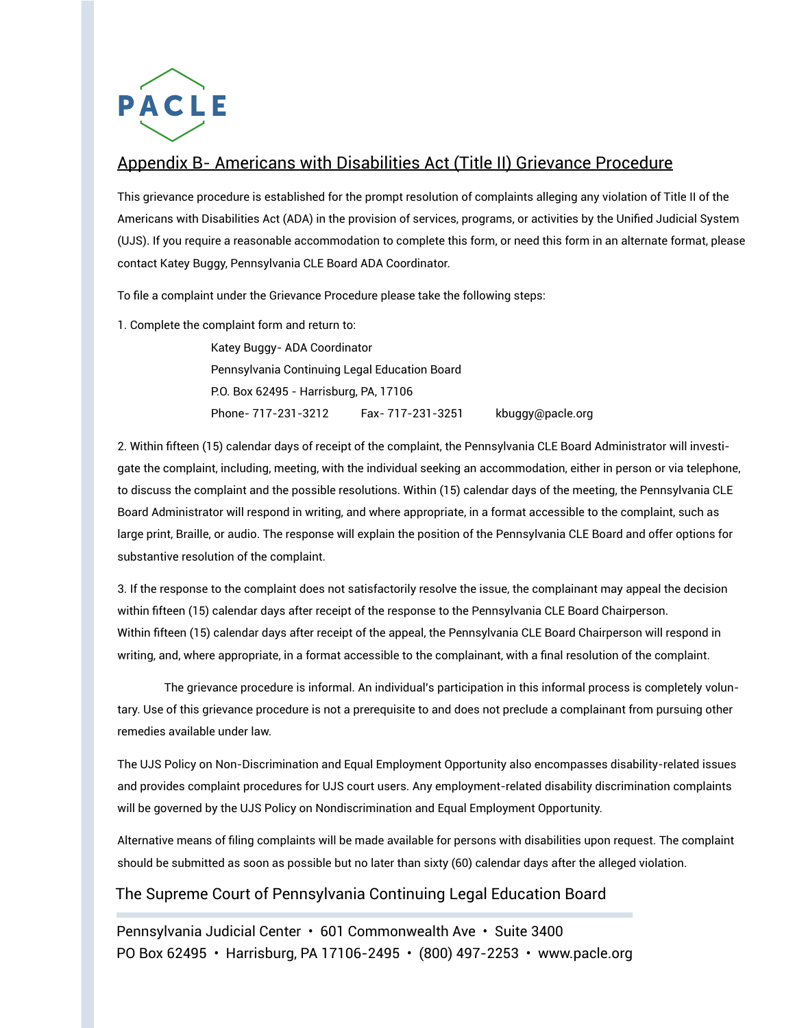

# Appendix B- Americans with Disabilities Act (Title II) Grievance Procedure

This grievance procedure is established for the prompt resolution of complaints alleging any violation of Title II of the Americans with Disabilities Act (ADA) in the provision of services, programs, or activities by the Unified Judicial System (UJS). If you require a reasonable accommodation to complete this form, or need this form in an alternate format, please contact Katey Buggy, Pennsylvania CLE Board ADA Coordinator.

To file a complaint under the Grievance Procedure please take the following steps:

1. Complete the complaint form and return to:

 Katey Buggy- ADA Coordinator Pennsylvania Continuing Legal Education Board P.O. Box 62495 - Harrisburg, PA, 17106 Phone- 717-231-3212 Fax- 717-231-3251 kbuggy@pacle.org

2. Within fifteen (15) calendar days of receipt of the complaint, the Pennsylvania CLE Board Administrator will investigate the complaint, including, meeting, with the individual seeking an accommodation, either in person or via telephone, to discuss the complaint and the possible resolutions. Within (15) calendar days of the meeting, the Pennsylvania CLE Board Administrator will respond in writing, and where appropriate, in a format accessible to the complaint, such as large print, Braille, or audio. The response will explain the position of the Pennsylvania CLE Board and offer options for substantive resolution of the complaint.

3. If the response to the complaint does not satisfactorily resolve the issue, the complainant may appeal the decision within fifteen (15) calendar days after receipt of the response to the Pennsylvania CLE Board Chairperson. Within fifteen (15) calendar days after receipt of the appeal, the Pennsylvania CLE Board Chairperson will respond in writing, and, where appropriate, in a format accessible to the complainant, with a final resolution of the complaint.

The grievance procedure is informal. An individual's participation in this informal process is completely voluntary. Use of this grievance procedure is not a prerequisite to and does not preclude a complainant from pursuing other remedies available under law.

The UJS Policy on Non-Discrimination and Equal Employment Opportunity also encompasses disability-related issues and provides complaint procedures for UJS court users. Any employment-related disability discrimination complaints will be governed by the UJS Policy on Nondiscrimination and Equal Employment Opportunity.

Alternative means of filing complaints will be made available for persons with disabilities upon request. The complaint should be submitted as soon as possible but no later than sixty (60) calendar days after the alleged violation.

## The Supreme Court of Pennsylvania Continuing Legal Education Board

Pennsylvania Judicial Center • 601 Commonwealth Ave • Suite 3400 PO Box 62495 • Harrisburg, PA 17106-2495 • (800) 497-2253 • www.pacle.org